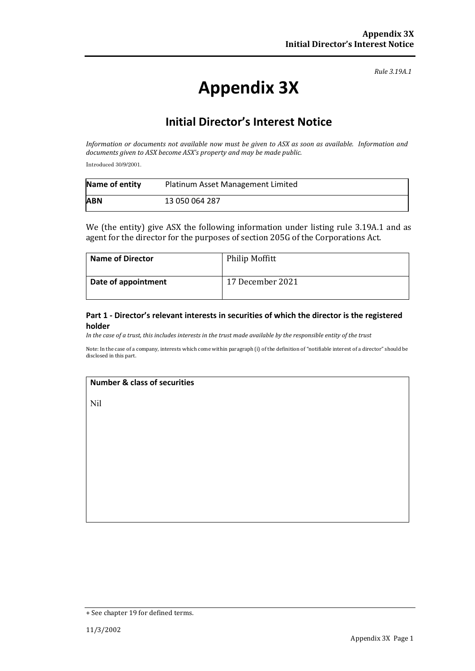*Rule 3.19A.1*

# **Appendix 3X**

## **Initial Director's Interest Notice**

*Information or documents not available now must be given to ASX as soon as available. Information and documents given to ASX become ASX's property and may be made public.*

Introduced 30/9/2001.

| Name of entity | Platinum Asset Management Limited |
|----------------|-----------------------------------|
| <b>ABN</b>     | 13 050 064 287                    |

We (the entity) give ASX the following information under listing rule 3.19A.1 and as agent for the director for the purposes of section 205G of the Corporations Act.

| <b>Name of Director</b> | <b>Philip Moffitt</b> |
|-------------------------|-----------------------|
| Date of appointment     | 17 December 2021      |

#### **Part 1 - Director's relevant interests in securities of which the director is the registered holder**

*In the case of a trust, this includes interests in the trust made available by the responsible entity of the trust*

Note: In the case of a company, interests which come within paragraph (i) of the definition of "notifiable interest of a director" should be disclosed in this part.

#### **Number & class of securities**

Nil

<sup>+</sup> See chapter 19 for defined terms.